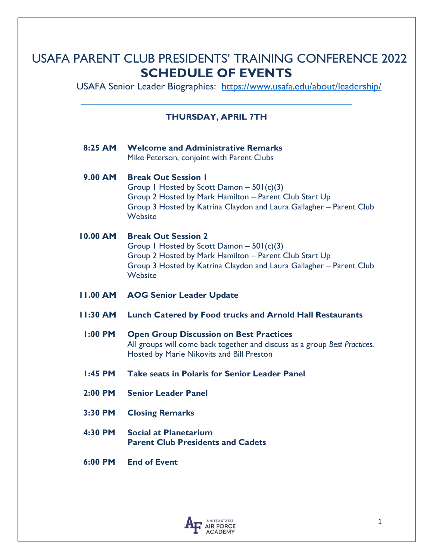## USAFA PARENT CLUB PRESIDENTS' TRAINING CONFERENCE 2022 **SCHEDULE OF EVENTS**

USAFA Senior Leader Biographies: <https://www.usafa.edu/about/leadership/>

### **THURSDAY, APRIL 7TH**

| $8:25$ AM       | <b>Welcome and Administrative Remarks</b><br>Mike Peterson, conjoint with Parent Clubs                                                                                                                               |
|-----------------|----------------------------------------------------------------------------------------------------------------------------------------------------------------------------------------------------------------------|
| <b>9.00 AM</b>  | <b>Break Out Session I</b><br>Group 1 Hosted by Scott Damon $-501(c)(3)$<br>Group 2 Hosted by Mark Hamilton - Parent Club Start Up<br>Group 3 Hosted by Katrina Claydon and Laura Gallagher - Parent Club<br>Website |
| <b>10.00 AM</b> | <b>Break Out Session 2</b><br>Group 1 Hosted by Scott Damon $-501(c)(3)$<br>Group 2 Hosted by Mark Hamilton - Parent Club Start Up<br>Group 3 Hosted by Katrina Claydon and Laura Gallagher - Parent Club<br>Website |
| <b>II.00 AM</b> | <b>AOG Senior Leader Update</b>                                                                                                                                                                                      |
|                 |                                                                                                                                                                                                                      |
| $11:30$ AM      | <b>Lunch Catered by Food trucks and Arnold Hall Restaurants</b>                                                                                                                                                      |
| $1:00$ PM       | <b>Open Group Discussion on Best Practices</b><br>All groups will come back together and discuss as a group Best Practices.<br>Hosted by Marie Nikovits and Bill Preston                                             |
| $1:45$ PM       | <b>Take seats in Polaris for Senior Leader Panel</b>                                                                                                                                                                 |
| $2:00$ PM       | <b>Senior Leader Panel</b>                                                                                                                                                                                           |
| 3:30 PM         | <b>Closing Remarks</b>                                                                                                                                                                                               |

 **6:00 PM End of Event**

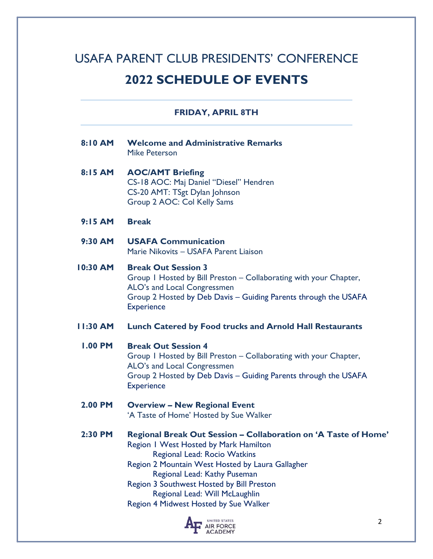# USAFA PARENT CLUB PRESIDENTS' CONFERENCE **2022 SCHEDULE OF EVENTS**

### **FRIDAY, APRIL 8TH**

| 8:10 AM         | <b>Welcome and Administrative Remarks</b><br><b>Mike Peterson</b>                                                                                                                                                                                                                                                                                    |
|-----------------|------------------------------------------------------------------------------------------------------------------------------------------------------------------------------------------------------------------------------------------------------------------------------------------------------------------------------------------------------|
| 8:15 AM         | <b>AOC/AMT Briefing</b><br>CS-18 AOC: Maj Daniel "Diesel" Hendren<br>CS-20 AMT: TSgt Dylan Johnson<br>Group 2 AOC: Col Kelly Sams                                                                                                                                                                                                                    |
| $9:15$ AM       | <b>Break</b>                                                                                                                                                                                                                                                                                                                                         |
| 9:30 AM         | <b>USAFA Communication</b><br>Marie Nikovits - USAFA Parent Liaison                                                                                                                                                                                                                                                                                  |
| 10:30 AM        | <b>Break Out Session 3</b><br>Group I Hosted by Bill Preston - Collaborating with your Chapter,<br>ALO's and Local Congressmen<br>Group 2 Hosted by Deb Davis - Guiding Parents through the USAFA<br><b>Experience</b>                                                                                                                               |
| <b>11:30 AM</b> | <b>Lunch Catered by Food trucks and Arnold Hall Restaurants</b>                                                                                                                                                                                                                                                                                      |
| <b>1.00 PM</b>  | <b>Break Out Session 4</b><br>Group I Hosted by Bill Preston - Collaborating with your Chapter,<br>ALO's and Local Congressmen<br>Group 2 Hosted by Deb Davis - Guiding Parents through the USAFA<br><b>Experience</b>                                                                                                                               |
| 2.00 PM         | <b>Overview - New Regional Event</b><br>'A Taste of Home' Hosted by Sue Walker                                                                                                                                                                                                                                                                       |
| 2:30 PM         | Regional Break Out Session - Collaboration on 'A Taste of Home'<br>Region I West Hosted by Mark Hamilton<br>Regional Lead: Rocio Watkins<br>Region 2 Mountain West Hosted by Laura Gallagher<br>Regional Lead: Kathy Puseman<br>Region 3 Southwest Hosted by Bill Preston<br>Regional Lead: Will McLaughlin<br>Region 4 Midwest Hosted by Sue Walker |